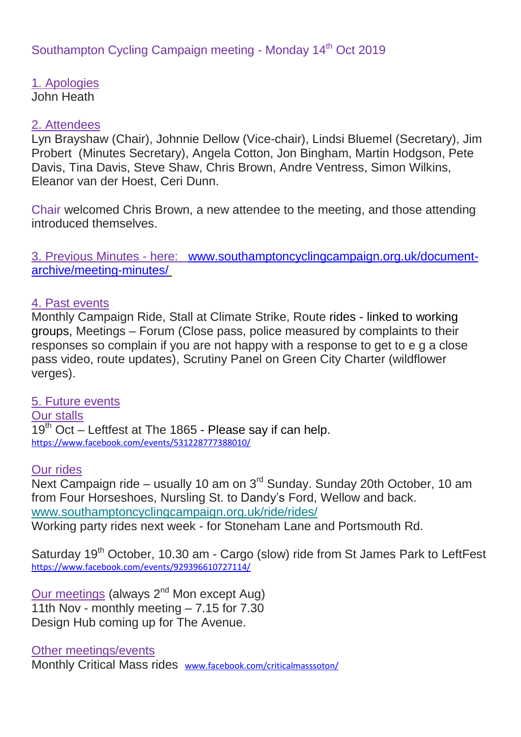1. Apologies John Heath

#### 2. Attendees

Lyn Brayshaw (Chair), Johnnie Dellow (Vice-chair), Lindsi Bluemel (Secretary), Jim Probert (Minutes Secretary), Angela Cotton, Jon Bingham, Martin Hodgson, Pete Davis, Tina Davis, Steve Shaw, Chris Brown, Andre Ventress, Simon Wilkins, Eleanor van der Hoest, Ceri Dunn.

Chair welcomed Chris Brown, a new attendee to the meeting, and those attending introduced themselves.

3. Previous Minutes - here: [www.southamptoncyclingcampaign.org.uk/document](http://www.southamptoncyclingcampaign.org.uk/document-archive/meeting-minutes/)[archive/meeting-minutes/](http://www.southamptoncyclingcampaign.org.uk/document-archive/meeting-minutes/)

#### 4. Past events

Monthly Campaign Ride, Stall at Climate Strike, Route rides - linked to working groups, Meetings – Forum (Close pass, police measured by complaints to their responses so complain if you are not happy with a response to get to e g a close pass video, route updates), Scrutiny Panel on Green City Charter (wildflower verges).

### 5. Future events

Our stalls  $19<sup>th</sup>$  Oct – Leftfest at The 1865 - Please say if can help. <https://www.facebook.com/events/531228777388010/>

#### Our rides

Next Campaign ride – usually 10 am on 3<sup>rd</sup> Sunday. Sunday 20th October, 10 am from Four Horseshoes, Nursling St. to Dandy's Ford, Wellow and back. [www.southamptoncyclingcampaign.org.uk/ride/rides/](http://www.southamptoncyclingcampaign.org.uk/ride/rides/) Working party rides next week - for Stoneham Lane and Portsmouth Rd.

Saturday 19<sup>th</sup> October, 10.30 am - Cargo (slow) ride from St James Park to LeftFest <https://www.facebook.com/events/929396610727114/>

Our meetings (always 2<sup>nd</sup> Mon except Aug) 11th Nov - monthly meeting – 7.15 for 7.30 Design Hub coming up for The Avenue.

Other meetings/events Monthly Critical Mass rides [www.facebook.com/criticalmasssoton/](https://www.facebook.com/criticalmasssoton/)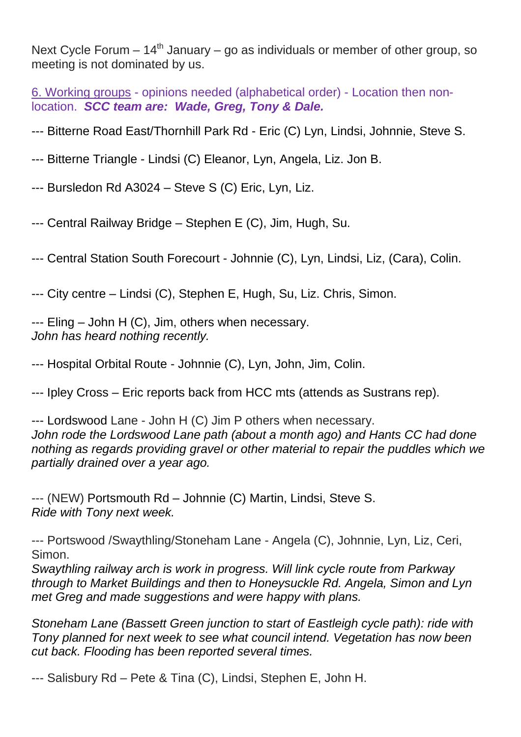Next Cycle Forum  $-14<sup>th</sup>$  January – go as individuals or member of other group, so meeting is not dominated by us.

6. Working groups - opinions needed (alphabetical order) - Location then nonlocation. *SCC team are: Wade, Greg, Tony & Dale.*

--- Bitterne Road East/Thornhill Park Rd - Eric (C) Lyn, Lindsi, Johnnie, Steve S.

--- Bitterne Triangle - Lindsi (C) Eleanor, Lyn, Angela, Liz. Jon B.

--- Bursledon Rd A3024 – Steve S (C) Eric, Lyn, Liz.

--- Central Railway Bridge – Stephen E (C), Jim, Hugh, Su.

--- Central Station South Forecourt - Johnnie (C), Lyn, Lindsi, Liz, (Cara), Colin.

--- City centre – Lindsi (C), Stephen E, Hugh, Su, Liz. Chris, Simon.

--- Eling – John H (C), Jim, others when necessary. *John has heard nothing recently.*

--- Hospital Orbital Route - Johnnie (C), Lyn, John, Jim, Colin.

--- Ipley Cross – Eric reports back from HCC mts (attends as Sustrans rep).

--- Lordswood Lane - John H (C) Jim P others when necessary. *John rode the Lordswood Lane path (about a month ago) and Hants CC had done nothing as regards providing gravel or other material to repair the puddles which we partially drained over a year ago.*

--- (NEW) Portsmouth Rd – Johnnie (C) Martin, Lindsi, Steve S. *Ride with Tony next week.*

--- Portswood /Swaythling/Stoneham Lane - Angela (C), Johnnie, Lyn, Liz, Ceri, Simon.

*Swaythling railway arch is work in progress. Will link cycle route from Parkway through to Market Buildings and then to Honeysuckle Rd. Angela, Simon and Lyn met Greg and made suggestions and were happy with plans.*

*Stoneham Lane (Bassett Green junction to start of Eastleigh cycle path): ride with Tony planned for next week to see what council intend. Vegetation has now been cut back. Flooding has been reported several times.*

--- Salisbury Rd – Pete & Tina (C), Lindsi, Stephen E, John H.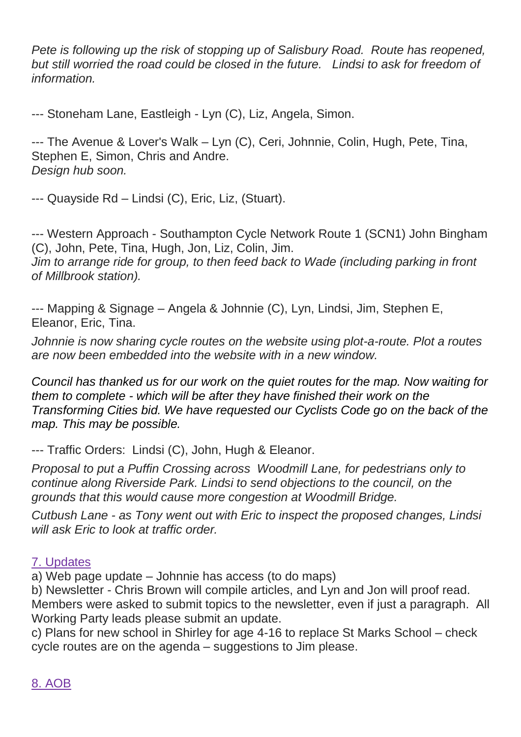*Pete is following up the risk of stopping up of Salisbury Road. Route has reopened, but still worried the road could be closed in the future. Lindsi to ask for freedom of information.*

--- Stoneham Lane, Eastleigh - Lyn (C), Liz, Angela, Simon.

--- The Avenue & Lover's Walk – Lyn (C), Ceri, Johnnie, Colin, Hugh, Pete, Tina, Stephen E, Simon, Chris and Andre. *Design hub soon.*

--- Quayside Rd – Lindsi (C), Eric, Liz, (Stuart).

--- Western Approach - Southampton Cycle Network Route 1 (SCN1) John Bingham (C), John, Pete, Tina, Hugh, Jon, Liz, Colin, Jim. *Jim to arrange ride for group, to then feed back to Wade (including parking in front of Millbrook station).*

--- Mapping & Signage – Angela & Johnnie (C), Lyn, Lindsi, Jim, Stephen E, Eleanor, Eric, Tina.

*Johnnie is now sharing cycle routes on the website using plot-a-route. Plot a routes are now been embedded into the website with in a new window.*

*Council has thanked us for our work on the quiet routes for the map. Now waiting for them to complete - which will be after they have finished their work on the Transforming Cities bid. We have requested our Cyclists Code go on the back of the map. This may be possible.*

--- Traffic Orders: Lindsi (C), John, Hugh & Eleanor.

*Proposal to put a Puffin Crossing across Woodmill Lane, for pedestrians only to continue along Riverside Park. Lindsi to send objections to the council, on the grounds that this would cause more congestion at Woodmill Bridge.*

*Cutbush Lane - as Tony went out with Eric to inspect the proposed changes, Lindsi will ask Eric to look at traffic order.*

## 7. Updates

a) Web page update – Johnnie has access (to do maps)

b) Newsletter - Chris Brown will compile articles, and Lyn and Jon will proof read. Members were asked to submit topics to the newsletter, even if just a paragraph. All Working Party leads please submit an update.

c) Plans for new school in Shirley for age 4-16 to replace St Marks School – check cycle routes are on the agenda – suggestions to Jim please.

# 8. AOB